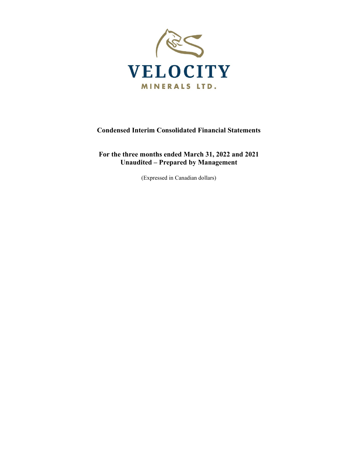

# **Condensed Interim Consolidated Financial Statements**

# **For the three months ended March 31, 2022 and 2021 Unaudited – Prepared by Management**

(Expressed in Canadian dollars)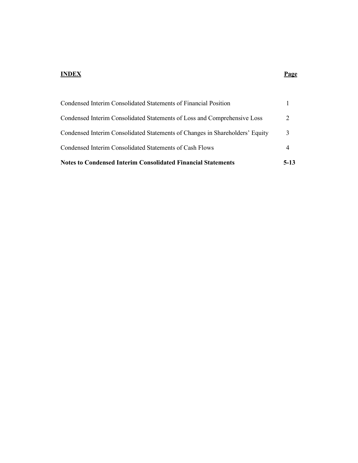#### **INDEX Page**

| <b>Notes to Condensed Interim Consolidated Financial Statements</b>          | $5-13$ |
|------------------------------------------------------------------------------|--------|
| Condensed Interim Consolidated Statements of Cash Flows                      |        |
| Condensed Interim Consolidated Statements of Changes in Shareholders' Equity | 3      |
| Condensed Interim Consolidated Statements of Loss and Comprehensive Loss     | 2      |
| Condensed Interim Consolidated Statements of Financial Position              |        |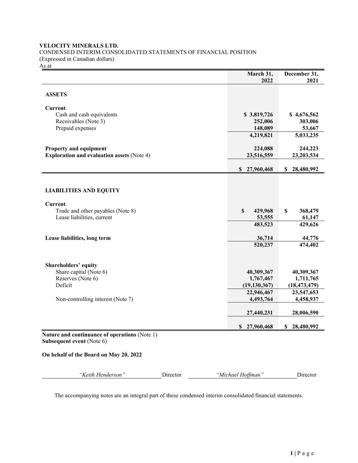# **VELOCITY MINERALS LTD.** CONDENSED INTERIM CONSOLIDATED STATEMENTS OF FINANCIAL POSITION (Expressed in Canadian dollars)

 $\frac{1}{\sqrt{2}}$ 

|                                                                            | March 31,                 | December 31,    |
|----------------------------------------------------------------------------|---------------------------|-----------------|
|                                                                            | 2022                      | 2021            |
| <b>ASSETS</b>                                                              |                           |                 |
| Current                                                                    |                           |                 |
| Cash and cash equivalents                                                  | \$3,819,726               | \$4,676,562     |
| Receivables (Note 3)                                                       | 252,006                   | 303,006         |
| Prepaid expenses                                                           | 148,089                   | 53,667          |
|                                                                            | 4,219,821                 | 5,033,235       |
| Property and equipment                                                     | 224,088                   | 244,223         |
| <b>Exploration and evaluation assets (Note 4)</b>                          | 23,516,559                | 23,203,534      |
|                                                                            | $\mathbf S$<br>27,960,468 | 28,480,992<br>S |
|                                                                            |                           |                 |
| <b>LIABILITIES AND EQUITY</b>                                              |                           |                 |
| <b>Current</b>                                                             |                           |                 |
| Trade and other payables (Note 8)                                          | $\mathbf S$<br>429,968    | \$<br>368,479   |
| Lease liabilities, current                                                 | 53,555                    | 61,147          |
|                                                                            | 483,523                   | 429,626         |
| Lease liabilities, long term                                               | 36,714                    | 44,776          |
|                                                                            | 520,237                   | 474,402         |
| Shareholders' equity                                                       |                           |                 |
| Share capital (Note 6)                                                     | 40,309,367                | 40,309,367      |
| Reserves (Note 6)                                                          | 1,767,467                 | 1,711,765       |
| Deficit                                                                    | (19, 130, 367)            | (18, 473, 479)  |
|                                                                            | 22,946,467                | 23,547,653      |
| Non-controlling interest (Note 7)                                          | 4,493,764                 | 4,458,937       |
|                                                                            | 27,440,231                | 28,006,590      |
|                                                                            | 27,960,468<br>\$          | 28,480,992<br>S |
| Nature and continuance of operations (Note 1)<br>Subsequent event (Note 6) |                           |                 |
| On behalf of the Board on May 20, 2022                                     |                           |                 |
| "Keith Henderson"<br>Director                                              | "Michael Hoffman"         | Director        |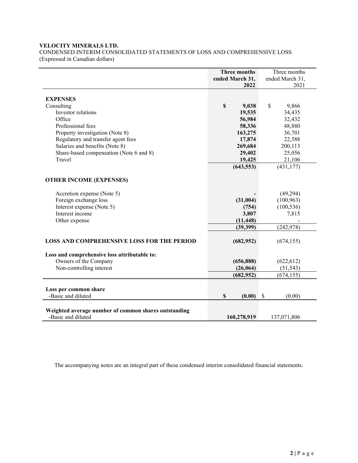# **VELOCITY MINERALS LTD.**

CONDENSED INTERIM CONSOLIDATED STATEMENTS OF LOSS AND COMPREHENSIVE LOSS (Expressed in Canadian dollars)

|                                                      | Three months<br>ended March 31,<br>2022 | Three months<br>ended March 31,<br>2021 |
|------------------------------------------------------|-----------------------------------------|-----------------------------------------|
| <b>EXPENSES</b>                                      |                                         |                                         |
| Consulting                                           | \$<br>9,038                             | \$<br>9,866                             |
| Investor relations                                   | 19,535                                  | 34,435                                  |
| Office                                               | 56,984                                  | 32,432                                  |
| Professional fees                                    | 58,336                                  | 48,880                                  |
| Property investigation (Note 8)                      | 163,275                                 | 36,701                                  |
| Regulatory and transfer agent fees                   | 17,874                                  | 22,588                                  |
| Salaries and benefits (Note 8)                       | 269,684                                 | 200,113                                 |
| Share-based compensation (Note 6 and 8)              | 29,402                                  | 25,056                                  |
| Travel                                               | 19,425                                  | 21,106                                  |
|                                                      | (643, 553)                              | (431, 177)                              |
| <b>OTHER INCOME (EXPENSES)</b>                       |                                         |                                         |
| Accretion expense (Note 5)                           |                                         | (49, 294)                               |
| Foreign exchange loss                                | (31,004)                                | (100, 963)                              |
| Interest expense (Note 5)                            | (754)                                   | (100, 536)                              |
| Interest income                                      | 3,807                                   | 7,815                                   |
| Other expense                                        | (11, 448)                               |                                         |
|                                                      | (39, 399)                               | (242, 978)                              |
| <b>LOSS AND COMPREHENSIVE LOSS FOR THE PERIOD</b>    | (682, 952)                              | (674, 155)                              |
| Loss and comprehensive loss attributable to:         |                                         |                                         |
| Owners of the Company                                | (656, 888)                              | (622, 612)                              |
| Non-controlling interest                             | (26,064)                                | (51, 543)                               |
|                                                      | (682, 952)                              | (674, 155)                              |
| Loss per common share                                |                                         |                                         |
| -Basic and diluted                                   | \$<br>(0.00)                            | \$<br>(0.00)                            |
| Weighted average number of common shares outstanding |                                         |                                         |
| -Basic and diluted                                   | 160,278,919                             | 137,071,806                             |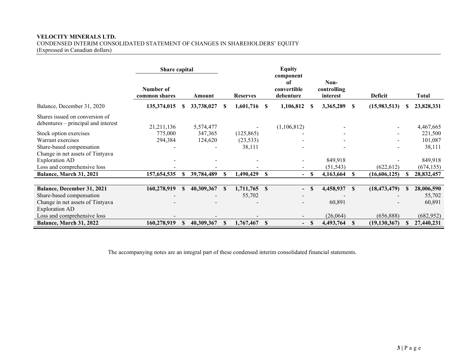# **VELOCITY MINERALS LTD.**

CONDENSED INTERIM CONSOLIDATED STATEMENT OF CHANGES IN SHAREHOLDERS' EQUITY (Expressed in Canadian dollars)

|                                                                                                                                                                                                                                                                         | Share capital                                     |   |                                               |              |                                                |              | <b>Equity</b>                               |    |                                   |   |                            |                                                                                  |
|-------------------------------------------------------------------------------------------------------------------------------------------------------------------------------------------------------------------------------------------------------------------------|---------------------------------------------------|---|-----------------------------------------------|--------------|------------------------------------------------|--------------|---------------------------------------------|----|-----------------------------------|---|----------------------------|----------------------------------------------------------------------------------|
|                                                                                                                                                                                                                                                                         | Number of<br>common shares                        |   | Amount                                        |              | <b>Reserves</b>                                |              | component<br>of<br>convertible<br>debenture |    | Non-<br>controlling<br>interest   |   | <b>Deficit</b>             | Total                                                                            |
| Balance, December 31, 2020                                                                                                                                                                                                                                              | 135,374,015                                       | S | 33,738,027                                    | S            | 1,601,716                                      | S            | 1,106,812                                   | S  | 3,365,289                         | S | (15,983,513)               | 23,828,331                                                                       |
| Shares issued on conversion of<br>debentures – principal and interest<br>Stock option exercises<br>Warrant exercises<br>Share-based compensation<br>Change in net assets of Tintyava<br><b>Exploration AD</b><br>Loss and comprehensive loss<br>Balance, March 31, 2021 | 21, 211, 136<br>775,000<br>294,384<br>157,654,535 |   | 5,574,477<br>347,365<br>124,620<br>39,784,489 | \$.          | (125, 865)<br>(23, 533)<br>38,111<br>1,490,429 | S            | (1,106,812)<br>$-$                          | -S | 849,918<br>(51, 543)<br>4,163,664 | S | (622, 612)<br>(16,606,125) | 4,467,665<br>221,500<br>101,087<br>38,111<br>849,918<br>(674, 155)<br>28,832,457 |
|                                                                                                                                                                                                                                                                         |                                                   |   |                                               |              |                                                |              |                                             |    |                                   |   |                            |                                                                                  |
| Balance, December 31, 2021<br>Share-based compensation<br>Change in net assets of Tintyava<br><b>Exploration AD</b>                                                                                                                                                     | 160,278,919                                       |   | 40,309,367                                    | $\mathbf{s}$ | 1,711,765<br>55,702                            | $\mathbf{s}$ | $\overline{\phantom{0}}$                    | S  | 4,458,937<br>60,891               | S | (18, 473, 479)             | 28,006,590<br>55,702<br>60,891                                                   |
| Loss and comprehensive loss                                                                                                                                                                                                                                             |                                                   |   |                                               |              |                                                |              |                                             |    | (26,064)                          |   | (656, 888)                 | (682,952)                                                                        |
| Balance, March 31, 2022                                                                                                                                                                                                                                                 | 160,278,919                                       |   | 40,309,367                                    |              | 1,767,467                                      | S            | $\overline{\phantom{0}}$                    | S  | 4,493,764                         | S | (19, 130, 367)             | 27,440,231                                                                       |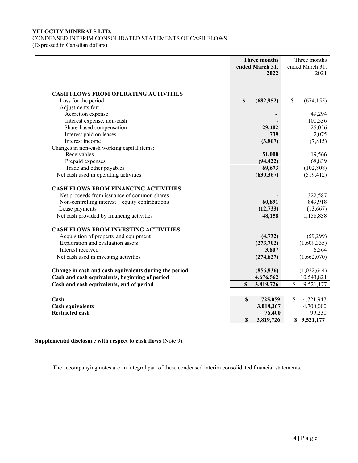# **VELOCITY MINERALS LTD.**  CONDENSED INTERIM CONSOLIDATED STATEMENTS OF CASH FLOWS

(Expressed in Canadian dollars)

|                                                                                            | <b>Three months</b><br>ended March 31,<br>2022 | Three months<br>ended March 31,<br>2021 |
|--------------------------------------------------------------------------------------------|------------------------------------------------|-----------------------------------------|
|                                                                                            |                                                |                                         |
| <b>CASH FLOWS FROM OPERATING ACTIVITIES</b>                                                |                                                |                                         |
| Loss for the period                                                                        | S<br>(682, 952)                                | \$<br>(674, 155)                        |
| Adjustments for:                                                                           |                                                |                                         |
| Accretion expense                                                                          |                                                | 49,294                                  |
| Interest expense, non-cash                                                                 |                                                | 100,536                                 |
| Share-based compensation                                                                   | 29,402                                         | 25,056                                  |
| Interest paid on leases                                                                    | 739                                            | 2,075                                   |
| Interest income                                                                            | (3,807)                                        | (7, 815)                                |
| Changes in non-cash working capital items:                                                 |                                                |                                         |
| Receivables                                                                                | 51,000                                         | 19,566                                  |
| Prepaid expenses                                                                           | (94, 422)                                      | 68,839                                  |
| Trade and other payables                                                                   | 69,673                                         | (102, 808)                              |
| Net cash used in operating activities                                                      | (630, 367)                                     | (519, 412)                              |
| <b>CASH FLOWS FROM FINANCING ACTIVITIES</b><br>Net proceeds from issuance of common shares |                                                | 322,587                                 |
| Non-controlling interest $-$ equity contributions                                          | 60,891                                         | 849,918                                 |
| Lease payments                                                                             | (12, 733)                                      | (13,667)                                |
| Net cash provided by financing activities                                                  | 48,158                                         | 1,158,838                               |
| <b>CASH FLOWS FROM INVESTING ACTIVITIES</b>                                                |                                                |                                         |
| Acquisition of property and equipment                                                      | (4, 732)                                       | (59,299)                                |
| Exploration and evaluation assets                                                          | (273, 702)                                     | (1,609,335)                             |
| Interest received                                                                          | 3,807                                          | 6,564                                   |
| Net cash used in investing activities                                                      | (274, 627)                                     | (1,662,070)                             |
| Change in cash and cash equivalents during the period                                      | (856, 836)                                     | (1,022,644)                             |
| Cash and cash equivalents, beginning of period                                             | 4,676,562                                      | 10,543,821                              |
| Cash and cash equivalents, end of period                                                   | <b>S</b><br>3,819,726                          | S<br>9,521,177                          |
|                                                                                            |                                                |                                         |
| Cash                                                                                       | $\boldsymbol{\mathsf{S}}$<br>725,059           | 4,721,947<br>\$                         |
| <b>Cash equivalents</b>                                                                    | 3,018,267                                      | 4,700,000                               |
| <b>Restricted cash</b>                                                                     | 76,400                                         | 99,230                                  |
|                                                                                            | S<br>3,819,726                                 | \$9,521,177                             |

**Supplemental disclosure with respect to cash flows** (Note 9)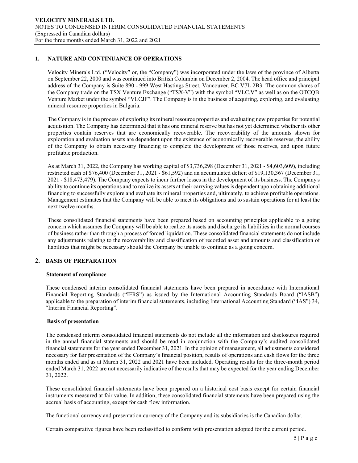# **1. NATURE AND CONTINUANCE OF OPERATIONS**

Velocity Minerals Ltd. ("Velocity" or, the "Company") was incorporated under the laws of the province of Alberta on September 22, 2000 and was continued into British Columbia on December 2, 2004. The head office and principal address of the Company is Suite 890 - 999 West Hastings Street, Vancouver, BC V7L 2B3. The common shares of the Company trade on the TSX Venture Exchange ("TSX-V") with the symbol "VLC.V" as well as on the OTCQB Venture Market under the symbol "VLCJF". The Company is in the business of acquiring, exploring, and evaluating mineral resource properties in Bulgaria.

The Company is in the process of exploring its mineral resource properties and evaluating new properties for potential acquisition. The Company has determined that it has one mineral reserve but has not yet determined whether its other properties contain reserves that are economically recoverable. The recoverability of the amounts shown for exploration and evaluation assets are dependent upon the existence of economically recoverable reserves, the ability of the Company to obtain necessary financing to complete the development of those reserves, and upon future profitable production.

As at March 31, 2022, the Company has working capital of \$3,736,298 (December 31, 2021 - \$4,603,609), including restricted cash of \$76,400 (December 31, 2021 - \$61,592) and an accumulated deficit of \$19,130,367 (December 31, 2021 - \$18,473,479). The Company expects to incur further losses in the development of its business. The Company's ability to continue its operations and to realize its assets at their carrying values is dependent upon obtaining additional financing to successfully explore and evaluate its mineral properties and, ultimately, to achieve profitable operations. Management estimates that the Company will be able to meet its obligations and to sustain operations for at least the next twelve months.

These consolidated financial statements have been prepared based on accounting principles applicable to a going concern which assumes the Company will be able to realize its assets and discharge its liabilities in the normal courses of business rather than through a process of forced liquidation. These consolidated financial statements do not include any adjustments relating to the recoverability and classification of recorded asset and amounts and classification of liabilities that might be necessary should the Company be unable to continue as a going concern.

# **2. BASIS OF PREPARATION**

#### **Statement of compliance**

These condensed interim consolidated financial statements have been prepared in accordance with International Financial Reporting Standards ("IFRS") as issued by the International Accounting Standards Board ("IASB") applicable to the preparation of interim financial statements, including International Accounting Standard ("IAS") 34, "Interim Financial Reporting".

# **Basis of presentation**

The condensed interim consolidated financial statements do not include all the information and disclosures required in the annual financial statements and should be read in conjunction with the Company's audited consolidated financial statements for the year ended December 31, 2021. In the opinion of management, all adjustments considered necessary for fair presentation of the Company's financial position, results of operations and cash flows for the three months ended and as at March 31, 2022 and 2021 have been included. Operating results for the three-month period ended March 31, 2022 are not necessarily indicative of the results that may be expected for the year ending December 31, 2022.

These consolidated financial statements have been prepared on a historical cost basis except for certain financial instruments measured at fair value. In addition, these consolidated financial statements have been prepared using the accrual basis of accounting, except for cash flow information.

The functional currency and presentation currency of the Company and its subsidiaries is the Canadian dollar.

Certain comparative figures have been reclassified to conform with presentation adopted for the current period.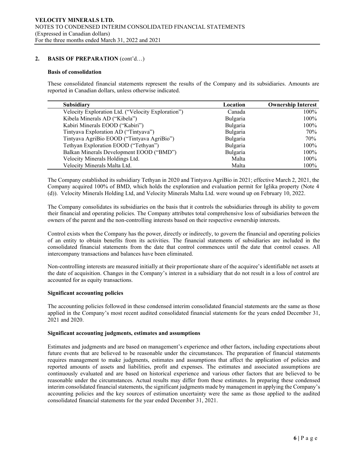#### **2. BASIS OF PREPARATION** (cont'd…)

#### **Basis of consolidation**

These consolidated financial statements represent the results of the Company and its subsidiaries. Amounts are reported in Canadian dollars, unless otherwise indicated.

| Subsidiary                                         | Location | <b>Ownership Interest</b> |
|----------------------------------------------------|----------|---------------------------|
| Velocity Exploration Ltd. ("Velocity Exploration") | Canada   | 100%                      |
| Kibela Minerals AD ("Kibela")                      | Bulgaria | 100%                      |
| Kabiri Minerals EOOD ("Kabiri")                    | Bulgaria | 100%                      |
| Tintyava Exploration AD ("Tintyava")               | Bulgaria | 70%                       |
| Tintyava AgriBio EOOD ("Tintyava AgriBio")         | Bulgaria | 70%                       |
| Tethyan Exploration EOOD ("Tethyan")               | Bulgaria | 100%                      |
| Balkan Minerals Development EOOD ("BMD")           | Bulgaria | 100%                      |
| Velocity Minerals Holdings Ltd.                    | Malta    | 100%                      |
| Velocity Minerals Malta Ltd.                       | Malta    | 100%                      |

The Company established its subsidiary Tethyan in 2020 and Tintyava AgriBio in 2021; effective March 2, 2021, the Company acquired 100% of BMD, which holds the exploration and evaluation permit for Iglika property (Note 4 (d)). Velocity Minerals Holding Ltd, and Velocity Minerals Malta Ltd. were wound up on February 10, 2022.

The Company consolidates its subsidiaries on the basis that it controls the subsidiaries through its ability to govern their financial and operating policies. The Company attributes total comprehensive loss of subsidiaries between the owners of the parent and the non-controlling interests based on their respective ownership interests.

Control exists when the Company has the power, directly or indirectly, to govern the financial and operating policies of an entity to obtain benefits from its activities. The financial statements of subsidiaries are included in the consolidated financial statements from the date that control commences until the date that control ceases. All intercompany transactions and balances have been eliminated.

Non-controlling interests are measured initially at their proportionate share of the acquiree's identifiable net assets at the date of acquisition. Changes in the Company's interest in a subsidiary that do not result in a loss of control are accounted for as equity transactions.

#### **Significant accounting policies**

The accounting policies followed in these condensed interim consolidated financial statements are the same as those applied in the Company's most recent audited consolidated financial statements for the years ended December 31, 2021 and 2020.

#### **Significant accounting judgments, estimates and assumptions**

Estimates and judgments and are based on management's experience and other factors, including expectations about future events that are believed to be reasonable under the circumstances. The preparation of financial statements requires management to make judgments, estimates and assumptions that affect the application of policies and reported amounts of assets and liabilities, profit and expenses. The estimates and associated assumptions are continuously evaluated and are based on historical experience and various other factors that are believed to be reasonable under the circumstances. Actual results may differ from these estimates. In preparing these condensed interim consolidated financial statements, the significant judgments made by management in applying the Company's accounting policies and the key sources of estimation uncertainty were the same as those applied to the audited consolidated financial statements for the year ended December 31, 2021.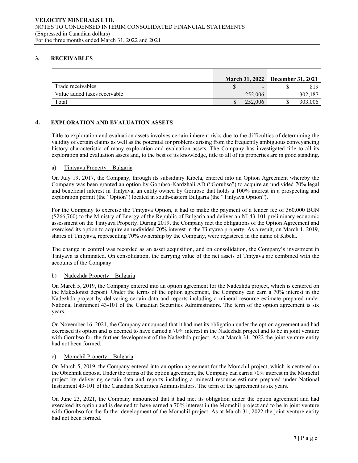# **3. RECEIVABLES**

|                              |         | March 31, 2022 December 31, 2021 |         |
|------------------------------|---------|----------------------------------|---------|
| Trade receivables            |         |                                  | 819     |
| Value added taxes receivable | 252,006 |                                  | 302.187 |
| Total                        | 252,006 |                                  | 303,006 |

# **4. EXPLORATION AND EVALUATION ASSETS**

Title to exploration and evaluation assets involves certain inherent risks due to the difficulties of determining the validity of certain claims as well as the potential for problems arising from the frequently ambiguous conveyancing history characteristic of many exploration and evaluation assets. The Company has investigated title to all its exploration and evaluation assets and, to the best of its knowledge, title to all of its properties are in good standing.

#### a) Tintyava Property – Bulgaria

On July 19, 2017, the Company, through its subsidiary Kibela, entered into an Option Agreement whereby the Company was been granted an option by Gorubso-Kardzhali AD ("Gorubso") to acquire an undivided 70% legal and beneficial interest in Tintyava, an entity owned by Gorubso that holds a 100% interest in a prospecting and exploration permit (the "Option") located in south-eastern Bulgaria (the "Tintyava Option").

For the Company to exercise the Tintyava Option, it had to make the payment of a tender fee of 360,000 BGN (\$266,760) to the Ministry of Energy of the Republic of Bulgaria and deliver an NI 43-101 preliminary economic assessment on the Tintyava Property. During 2019, the Company met the obligations of the Option Agreement and exercised its option to acquire an undivided 70% interest in the Tintyava property. As a result, on March 1, 2019, shares of Tintyava, representing 70% ownership by the Company, were registered in the name of Kibela.

The change in control was recorded as an asset acquisition, and on consolidation, the Company's investment in Tintyava is eliminated. On consolidation, the carrying value of the net assets of Tintyava are combined with the accounts of the Company.

#### b) Nadezhda Property – Bulgaria

On March 5, 2019, the Company entered into an option agreement for the Nadezhda project, which is centered on the Makedontsi deposit. Under the terms of the option agreement, the Company can earn a 70% interest in the Nadezhda project by delivering certain data and reports including a mineral resource estimate prepared under National Instrument 43-101 of the Canadian Securities Administrators. The term of the option agreement is six years.

On November 16, 2021, the Company announced that it had met its obligation under the option agreement and had exercised its option and is deemed to have earned a 70% interest in the Nadezhda project and to be in joint venture with Gorubso for the further development of the Nadezhda project. As at March 31, 2022 the joint venture entity had not been formed.

# c) Momchil Property – Bulgaria

On March 5, 2019, the Company entered into an option agreement for the Momchil project, which is centered on the Obichnik deposit. Under the terms of the option agreement, the Company can earn a 70% interest in the Momchil project by delivering certain data and reports including a mineral resource estimate prepared under National Instrument 43-101 of the Canadian Securities Administrators. The term of the agreement is six years.

On June 23, 2021, the Company announced that it had met its obligation under the option agreement and had exercised its option and is deemed to have earned a 70% interest in the Momchil project and to be in joint venture with Gorubso for the further development of the Momchil project. As at March 31, 2022 the joint venture entity had not been formed.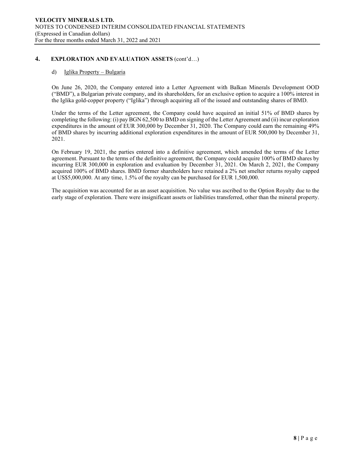# **4. EXPLORATION AND EVALUATION ASSETS** (cont'd…)

#### d) Iglika Property – Bulgaria

On June 26, 2020, the Company entered into a Letter Agreement with Balkan Minerals Development OOD ("BMD"), a Bulgarian private company, and its shareholders, for an exclusive option to acquire a 100% interest in the Iglika gold-copper property ("Iglika") through acquiring all of the issued and outstanding shares of BMD.

Under the terms of the Letter agreement, the Company could have acquired an initial 51% of BMD shares by completing the following: (i) pay BGN 62,500 to BMD on signing of the Letter Agreement and (ii) incur exploration expenditures in the amount of EUR 300,000 by December 31, 2020. The Company could earn the remaining 49% of BMD shares by incurring additional exploration expenditures in the amount of EUR 500,000 by December 31, 2021.

On February 19, 2021, the parties entered into a definitive agreement, which amended the terms of the Letter agreement. Pursuant to the terms of the definitive agreement, the Company could acquire 100% of BMD shares by incurring EUR 300,000 in exploration and evaluation by December 31, 2021. On March 2, 2021, the Company acquired 100% of BMD shares. BMD former shareholders have retained a 2% net smelter returns royalty capped at US\$5,000,000. At any time, 1.5% of the royalty can be purchased for EUR 1,500,000.

The acquisition was accounted for as an asset acquisition. No value was ascribed to the Option Royalty due to the early stage of exploration. There were insignificant assets or liabilities transferred, other than the mineral property.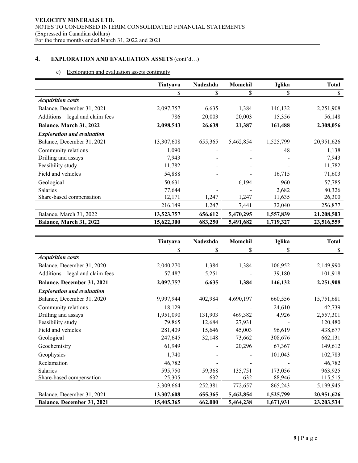# **4. EXPLORATION AND EVALUATION ASSETS** (cont'd…)

# e) Exploration and evaluation assets continuity

|                                   | Tintyava   | Nadezhda | Momchil   | Iglika    | <b>Total</b> |
|-----------------------------------|------------|----------|-----------|-----------|--------------|
|                                   |            | \$       | \$        | \$        | \$           |
| <b>Acquisition costs</b>          |            |          |           |           |              |
| Balance, December 31, 2021        | 2,097,757  | 6,635    | 1,384     | 146,132   | 2,251,908    |
| Additions – legal and claim fees  | 786        | 20,003   | 20,003    | 15,356    | 56,148       |
| Balance, March 31, 2022           | 2,098,543  | 26,638   | 21,387    | 161,488   | 2,308,056    |
| <b>Exploration and evaluation</b> |            |          |           |           |              |
| Balance, December 31, 2021        | 13,307,608 | 655,365  | 5,462,854 | 1,525,799 | 20,951,626   |
| Community relations               | 1,090      |          |           | 48        | 1,138        |
| Drilling and assays               | 7,943      |          |           |           | 7,943        |
| Feasibility study                 | 11,782     |          |           |           | 11,782       |
| Field and vehicles                | 54,888     |          |           | 16,715    | 71,603       |
| Geological                        | 50,631     |          | 6,194     | 960       | 57,785       |
| <b>Salaries</b>                   | 77,644     |          |           | 2,682     | 80,326       |
| Share-based compensation          | 12,171     | 1,247    | 1,247     | 11,635    | 26,300       |
|                                   | 216,149    | 1,247    | 7,441     | 32,040    | 256,877      |
| Balance, March 31, 2022           | 13,523,757 | 656,612  | 5,470,295 | 1,557,839 | 21,208,503   |
| Balance, March 31, 2022           | 15,622,300 | 683,250  | 5,491,682 | 1,719,327 | 23,516,559   |

|                                   | Tintyava   | Nadezhda | Momchil   | Iglika    | <b>Total</b> |
|-----------------------------------|------------|----------|-----------|-----------|--------------|
|                                   | \$         | \$       | \$        | \$        | \$           |
| <b>Acquisition costs</b>          |            |          |           |           |              |
| Balance, December 31, 2020        | 2,040,270  | 1,384    | 1,384     | 106,952   | 2,149,990    |
| Additions - legal and claim fees  | 57,487     | 5,251    |           | 39,180    | 101,918      |
| Balance, December 31, 2021        | 2,097,757  | 6,635    | 1,384     | 146,132   | 2,251,908    |
| <b>Exploration and evaluation</b> |            |          |           |           |              |
| Balance, December 31, 2020        | 9,997,944  | 402,984  | 4,690,197 | 660,556   | 15,751,681   |
| Community relations               | 18,129     |          |           | 24,610    | 42,739       |
| Drilling and assays               | 1,951,090  | 131,903  | 469,382   | 4,926     | 2,557,301    |
| Feasibility study                 | 79,865     | 12,684   | 27,931    |           | 120,480      |
| Field and vehicles                | 281,409    | 15,646   | 45,003    | 96,619    | 438,677      |
| Geological                        | 247,645    | 32,148   | 73,662    | 308,676   | 662,131      |
| Geochemistry                      | 61,949     |          | 20,296    | 67,367    | 149,612      |
| Geophysics                        | 1,740      |          |           | 101,043   | 102,783      |
| Reclamation                       | 46,782     |          |           |           | 46,782       |
| Salaries                          | 595,750    | 59,368   | 135,751   | 173,056   | 963,925      |
| Share-based compensation          | 25,305     | 632      | 632       | 88,946    | 115,515      |
|                                   | 3,309,664  | 252,381  | 772,657   | 865,243   | 5,199,945    |
| Balance, December 31, 2021        | 13,307,608 | 655,365  | 5,462,854 | 1,525,799 | 20,951,626   |
| Balance, December 31, 2021        | 15,405,365 | 662,000  | 5,464,238 | 1,671,931 | 23,203,534   |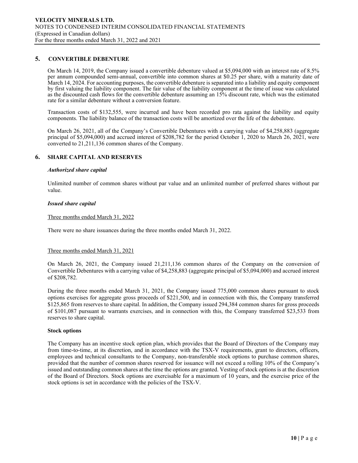#### **5. CONVERTIBLE DEBENTURE**

On March 14, 2019, the Company issued a convertible debenture valued at \$5,094,000 with an interest rate of 8.5% per annum compounded semi-annual, convertible into common shares at \$0.25 per share, with a maturity date of March 14, 2024. For accounting purposes, the convertible debenture is separated into a liability and equity component by first valuing the liability component. The fair value of the liability component at the time of issue was calculated as the discounted cash flows for the convertible debenture assuming an 15% discount rate, which was the estimated rate for a similar debenture without a conversion feature.

Transaction costs of \$132,555, were incurred and have been recorded pro rata against the liability and equity components. The liability balance of the transaction costs will be amortized over the life of the debenture.

On March 26, 2021, all of the Company's Convertible Debentures with a carrying value of \$4,258,883 (aggregate principal of \$5,094,000) and accrued interest of \$208,782 for the period October 1, 2020 to March 26, 2021, were converted to 21,211,136 common shares of the Company.

#### **6. SHARE CAPITAL AND RESERVES**

#### *Authorized share capital*

Unlimited number of common shares without par value and an unlimited number of preferred shares without par value.

#### *Issued share capital*

Three months ended March 31, 2022

There were no share issuances during the three months ended March 31, 2022.

#### Three months ended March 31, 2021

On March 26, 2021, the Company issued 21,211,136 common shares of the Company on the conversion of Convertible Debentures with a carrying value of \$4,258,883 (aggregate principal of \$5,094,000) and accrued interest of \$208,782.

During the three months ended March 31, 2021, the Company issued 775,000 common shares pursuant to stock options exercises for aggregate gross proceeds of \$221,500, and in connection with this, the Company transferred \$125,865 from reserves to share capital. In addition, the Company issued 294,384 common shares for gross proceeds of \$101,087 pursuant to warrants exercises, and in connection with this, the Company transferred \$23,533 from reserves to share capital.

#### **Stock options**

The Company has an incentive stock option plan, which provides that the Board of Directors of the Company may from time-to-time, at its discretion, and in accordance with the TSX-V requirements, grant to directors, officers, employees and technical consultants to the Company, non-transferable stock options to purchase common shares, provided that the number of common shares reserved for issuance will not exceed a rolling 10% of the Company's issued and outstanding common shares at the time the options are granted. Vesting of stock options is at the discretion of the Board of Directors. Stock options are exercisable for a maximum of 10 years, and the exercise price of the stock options is set in accordance with the policies of the TSX-V.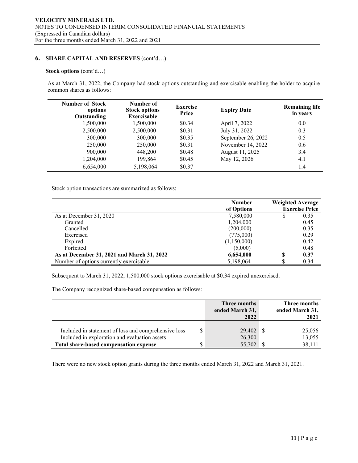# **6. SHARE CAPITAL AND RESERVES** (cont'd…)

#### **Stock options** (cont'd…)

As at March 31, 2022, the Company had stock options outstanding and exercisable enabling the holder to acquire common shares as follows:

| <b>Number of Stock</b><br>options<br>Outstanding | Number of<br><b>Stock options</b><br><b>Exercisable</b> | <b>Exercise</b><br>Price | <b>Expiry Date</b> | <b>Remaining life</b><br>in years |
|--------------------------------------------------|---------------------------------------------------------|--------------------------|--------------------|-----------------------------------|
| 1,500,000                                        | 1,500,000                                               | \$0.34                   | April 7, 2022      | 0.0                               |
| 2,500,000                                        | 2,500,000                                               | \$0.31                   | July 31, 2022      | 0.3                               |
| 300,000                                          | 300,000                                                 | \$0.35                   | September 26, 2022 | 0.5                               |
| 250,000                                          | 250,000                                                 | \$0.31                   | November 14, 2022  | 0.6                               |
| 900,000                                          | 448,200                                                 | \$0.48                   | August 11, 2025    | 3.4                               |
| 1,204,000                                        | 199,864                                                 | \$0.45                   | May 12, 2026       | 4.1                               |
| 6,654,000                                        | 5,198,064                                               | \$0.37                   |                    | 1.4                               |

Stock option transactions are summarized as follows:

|                                            | <b>Number</b><br>of Options |   | <b>Weighted Average</b><br><b>Exercise Price</b> |
|--------------------------------------------|-----------------------------|---|--------------------------------------------------|
| As at December 31, 2020                    | 7,580,000                   |   | 0.35                                             |
| Granted                                    | 1,204,000                   |   | 0.45                                             |
| Cancelled                                  | (200,000)                   |   | 0.35                                             |
| Exercised                                  | (775,000)                   |   | 0.29                                             |
| Expired                                    | (1,150,000)                 |   | 0.42                                             |
| Forfeited                                  | (5,000)                     |   | 0.48                                             |
| As at December 31, 2021 and March 31, 2022 | 6,654,000                   | S | 0.37                                             |
| Number of options currently exercisable    | 5,198,064                   |   | 0.34                                             |

Subsequent to March 31, 2022, 1,500,000 stock options exercisable at \$0.34 expired unexercised.

The Company recognized share-based compensation as follows:

|                                                                                                       | Three months<br>ended March 31,<br>2022 | Three months<br>ended March 31,<br>2021 |
|-------------------------------------------------------------------------------------------------------|-----------------------------------------|-----------------------------------------|
| Included in statement of loss and comprehensive loss<br>Included in exploration and evaluation assets | 29,402<br>26,300                        | 25,056<br>13,055                        |
| Total share-based compensation expense                                                                | 55,702                                  | 38,111                                  |

There were no new stock option grants during the three months ended March 31, 2022 and March 31, 2021.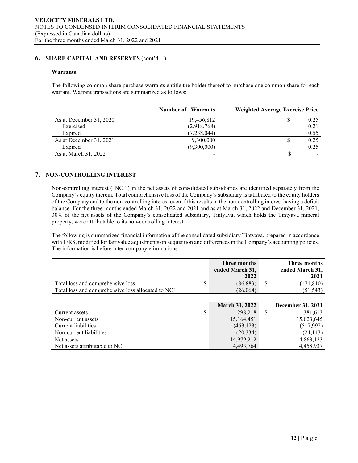# **6. SHARE CAPITAL AND RESERVES** (cont'd…)

#### **Warrants**

The following common share purchase warrants entitle the holder thereof to purchase one common share for each warrant. Warrant transactions are summarized as follows:

|                         | <b>Number of Warrants</b> | <b>Weighted Average Exercise Price</b> |
|-------------------------|---------------------------|----------------------------------------|
| As at December 31, 2020 | 19,456,812                | 0.25                                   |
| Exercised               | (2,918,768)               | 0.21                                   |
| Expired                 | (7,238,044)               | 0.55                                   |
| As at December 31, 2021 | 9,300,000                 | 0.25                                   |
| Expired                 | (9,300,000)               | 0.25                                   |
| As at March 31, 2022    |                           |                                        |

# **7. NON-CONTROLLING INTEREST**

Non-controlling interest ("NCI") in the net assets of consolidated subsidiaries are identified separately from the Company's equity therein. Total comprehensive loss of the Company's subsidiary is attributed to the equity holders of the Company and to the non-controlling interest even if this results in the non-controlling interest having a deficit balance. For the three months ended March 31, 2022 and 2021 and as at March 31, 2022 and December 31, 2021, 30% of the net assets of the Company's consolidated subsidiary, Tintyava, which holds the Tintyava mineral property, were attributable to its non-controlling interest.

The following is summarized financial information of the consolidated subsidiary Tintyava, prepared in accordance with IFRS, modified for fair value adjustments on acquisition and differences in the Company's accounting policies. The information is before inter-company eliminations.

| ended March 31,<br>2022 | ended March 31,<br>2021 |
|-------------------------|-------------------------|
| (86, 883)               | (171, 810)              |
| (26,064)                | (51, 543)               |
|                         |                         |

|                                |   | <b>March 31, 2022</b> |   | December 31, 2021 |
|--------------------------------|---|-----------------------|---|-------------------|
| Current assets                 | S | 298,218               | S | 381,613           |
| Non-current assets             |   | 15,164,451            |   | 15,023,645        |
| Current liabilities            |   | (463, 123)            |   | (517,992)         |
| Non-current liabilities        |   | (20, 334)             |   | (24, 143)         |
| Net assets                     |   | 14,979,212            |   | 14,863,123        |
| Net assets attributable to NCI |   | 4,493,764             |   | 4,458,937         |
|                                |   |                       |   |                   |